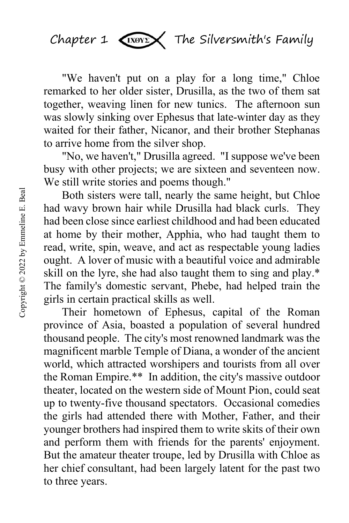

"We haven't put on a play for a long time," Chloe remarked to her older sister, Drusilla, as the two of them sat together, weaving linen for new tunics. The afternoon sun was slowly sinking over Ephesus that late-winter day as they waited for their father, Nicanor, and their brother Stephanas to arrive home from the silver shop.

"No, we haven't," Drusilla agreed. "I suppose we've been busy with other projects; we are sixteen and seventeen now. We still write stories and poems though."

Both sisters were tall, nearly the same height, but Chloe had wavy brown hair while Drusilla had black curls. They had been close since earliest childhood and had been educated at home by their mother, Apphia, who had taught them to read, write, spin, weave, and act as respectable young ladies ought. A lover of music with a beautiful voice and admirable skill on the lyre, she had also taught them to sing and play.\* The family's domestic servant, Phebe, had helped train the girls in certain practical skills as well.

Their hometown of Ephesus, capital of the Roman province of Asia, boasted a population of several hundred thousand people. The city's most renowned landmark was the magnificent marble Temple of Diana, a wonder of the ancient world, which attracted worshipers and tourists from all over the Roman Empire.\*\* In addition, the city's massive outdoor theater, located on the western side of Mount Pion, could seat up to twenty-five thousand spectators. Occasional comedies the girls had attended there with Mother, Father, and their younger brothers had inspired them to write skits of their own and perform them with friends for the parents' enjoyment. But the amateur theater troupe, led by Drusilla with Chloe as her chief consultant, had been largely latent for the past two to three years.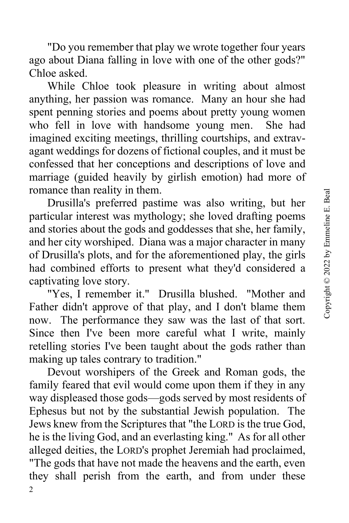"Do you remember that play we wrote together four years ago about Diana falling in love with one of the other gods?" Chloe asked.

While Chloe took pleasure in writing about almost anything, her passion was romance. Many an hour she had spent penning stories and poems about pretty young women who fell in love with handsome young men. She had imagined exciting meetings, thrilling courtships, and extravagant weddings for dozens of fictional couples, and it must be confessed that her conceptions and descriptions of love and marriage (guided heavily by girlish emotion) had more of romance than reality in them.

Drusilla's preferred pastime was also writing, but her particular interest was mythology; she loved drafting poems and stories about the gods and goddesses that she, her family, and her city worshiped. Diana was a major character in many of Drusilla's plots, and for the aforementioned play, the girls had combined efforts to present what they'd considered a captivating love story.

"Yes, I remember it." Drusilla blushed. "Mother and Father didn't approve of that play, and I don't blame them now. The performance they saw was the last of that sort. Since then I've been more careful what I write, mainly retelling stories I've been taught about the gods rather than making up tales contrary to tradition."

 $\overline{2}$ Devout worshipers of the Greek and Roman gods, the family feared that evil would come upon them if they in any way displeased those gods—gods served by most residents of Ephesus but not by the substantial Jewish population. The Jews knew from the Scriptures that "the LORD is the true God, he is the living God, and an everlasting king." As for all other alleged deities, the LORD's prophet Jeremiah had proclaimed, "The gods that have not made the heavens and the earth, even they shall perish from the earth, and from under these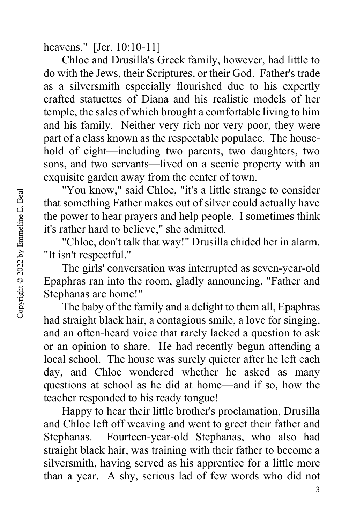heavens." [Jer. 10:10-11]

Chloe and Drusilla's Greek family, however, had little to do with the Jews, their Scriptures, or their God. Father's trade as a silversmith especially flourished due to his expertly crafted statuettes of Diana and his realistic models of her temple, the sales of which brought a comfortable living to him and his family. Neither very rich nor very poor, they were part of a class known as the respectable populace. The household of eight—including two parents, two daughters, two sons, and two servants—lived on a scenic property with an exquisite garden away from the center of town.

"You know," said Chloe, "it's a little strange to consider that something Father makes out of silver could actually have the power to hear prayers and help people. I sometimes think it's rather hard to believe," she admitted.

"Chloe, don't talk that way!" Drusilla chided her in alarm. "It isn't respectful."

The girls' conversation was interrupted as seven-year-old Epaphras ran into the room, gladly announcing, "Father and Stephanas are home!"

The baby of the family and a delight to them all, Epaphras had straight black hair, a contagious smile, a love for singing, and an often-heard voice that rarely lacked a question to ask or an opinion to share. He had recently begun attending a local school. The house was surely quieter after he left each day, and Chloe wondered whether he asked as many questions at school as he did at home—and if so, how the teacher responded to his ready tongue!

Happy to hear their little brother's proclamation, Drusilla and Chloe left off weaving and went to greet their father and Stephanas. Fourteen-year-old Stephanas, who also had straight black hair, was training with their father to become a silversmith, having served as his apprentice for a little more than a year. A shy, serious lad of few words who did not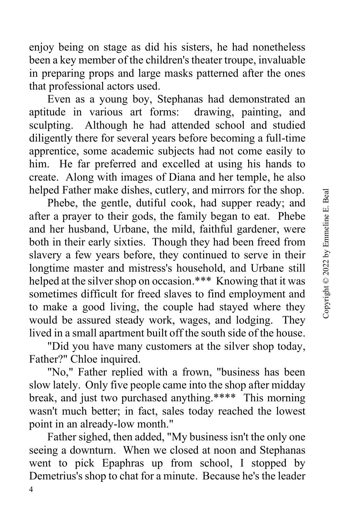enjoy being on stage as did his sisters, he had nonetheless been a key member of the children's theater troupe, invaluable in preparing props and large masks patterned after the ones that professional actors used.

Even as a young boy, Stephanas had demonstrated an aptitude in various art forms: drawing, painting, and sculpting. Although he had attended school and studied diligently there for several years before becoming a full-time apprentice, some academic subjects had not come easily to him. He far preferred and excelled at using his hands to create. Along with images of Diana and her temple, he also helped Father make dishes, cutlery, and mirrors for the shop.

Phebe, the gentle, dutiful cook, had supper ready; and after a prayer to their gods, the family began to eat. Phebe and her husband, Urbane, the mild, faithful gardener, were both in their early sixties. Though they had been freed from slavery a few years before, they continued to serve in their longtime master and mistress's household, and Urbane still helped at the silver shop on occasion.\*\*\* Knowing that it was sometimes difficult for freed slaves to find employment and to make a good living, the couple had stayed where they would be assured steady work, wages, and lodging. They lived in a small apartment built off the south side of the house.

"Did you have many customers at the silver shop today, Father?" Chloe inquired.

"No," Father replied with a frown, "business has been slow lately. Only five people came into the shop after midday break, and just two purchased anything.\*\*\*\* This morning wasn't much better; in fact, sales today reached the lowest point in an already-low month."

4 Father sighed, then added, "My business isn't the only one seeing a downturn. When we closed at noon and Stephanas went to pick Epaphras up from school, I stopped by Demetrius's shop to chat for a minute. Because he's the leader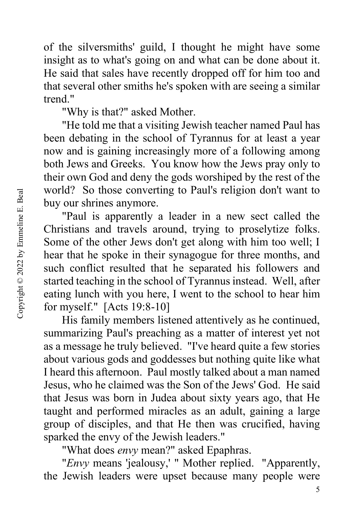of the silversmiths' guild, I thought he might have some insight as to what's going on and what can be done about it. He said that sales have recently dropped off for him too and that several other smiths he's spoken with are seeing a similar trend."

"Why is that?" asked Mother.

"He told me that a visiting Jewish teacher named Paul has been debating in the school of Tyrannus for at least a year now and is gaining increasingly more of a following among both Jews and Greeks. You know how the Jews pray only to their own God and deny the gods worshiped by the rest of the world? So those converting to Paul's religion don't want to buy our shrines anymore.

"Paul is apparently a leader in a new sect called the Christians and travels around, trying to proselytize folks. Some of the other Jews don't get along with him too well; I hear that he spoke in their synagogue for three months, and such conflict resulted that he separated his followers and started teaching in the school of Tyrannus instead. Well, after eating lunch with you here, I went to the school to hear him for myself." [Acts 19:8-10]

His family members listened attentively as he continued, summarizing Paul's preaching as a matter of interest yet not as a message he truly believed. "I've heard quite a few stories about various gods and goddesses but nothing quite like what I heard this afternoon. Paul mostly talked about a man named Jesus, who he claimed was the Son of the Jews' God. He said that Jesus was born in Judea about sixty years ago, that He taught and performed miracles as an adult, gaining a large group of disciples, and that He then was crucified, having sparked the envy of the Jewish leaders."

"What does *envy* mean?" asked Epaphras.

"*Envy* means 'jealousy,' " Mother replied. "Apparently, the Jewish leaders were upset because many people were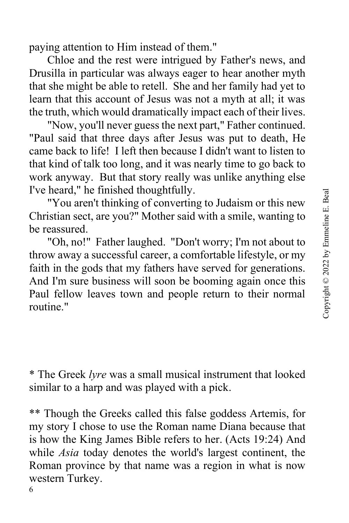paying attention to Him instead of them."

Chloe and the rest were intrigued by Father's news, and Drusilla in particular was always eager to hear another myth that she might be able to retell. She and her family had yet to learn that this account of Jesus was not a myth at all; it was the truth, which would dramatically impact each of their lives.

"Now, you'll never guess the next part," Father continued. "Paul said that three days after Jesus was put to death, He came back to life! I left then because I didn't want to listen to that kind of talk too long, and it was nearly time to go back to work anyway. But that story really was unlike anything else I've heard," he finished thoughtfully.

"You aren't thinking of converting to Judaism or this new Christian sect, are you?" Mother said with a smile, wanting to be reassured.

"Oh, no!" Father laughed. "Don't worry; I'm not about to throw away a successful career, a comfortable lifestyle, or my faith in the gods that my fathers have served for generations. And I'm sure business will soon be booming again once this Paul fellow leaves town and people return to their normal routine."

\* The Greek *lyre* was a small musical instrument that looked similar to a harp and was played with a pick.

\*\* Though the Greeks called this false goddess Artemis, for my story I chose to use the Roman name Diana because that is how the King James Bible refers to her. (Acts 19:24) And while *Asia* today denotes the world's largest continent, the Roman province by that name was a region in what is now western Turkey.